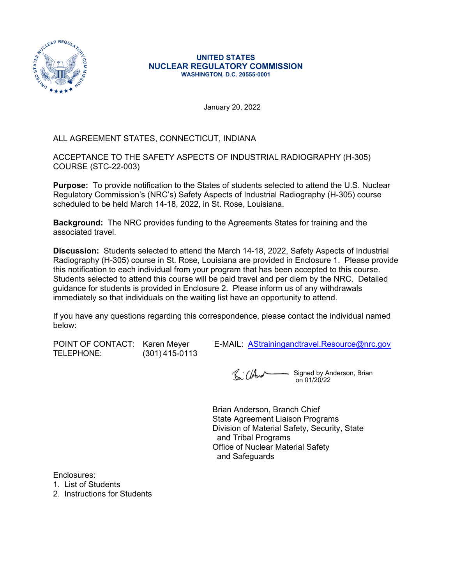

#### **UNITED STATES NUCLEAR REGULATORY COMMISSION WASHINGTON, D.C. 20555-0001**

January 20, 2022

## ALL AGREEMENT STATES, CONNECTICUT, INDIANA

ACCEPTANCE TO THE SAFETY ASPECTS OF INDUSTRIAL RADIOGRAPHY (H-305) COURSE (STC-22-003)

**Purpose:** To provide notification to the States of students selected to attend the U.S. Nuclear Regulatory Commission's (NRC's) Safety Aspects of Industrial Radiography (H-305) course scheduled to be held March 14-18, 2022, in St. Rose, Louisiana.

**Background:** The NRC provides funding to the Agreements States for training and the associated travel.

**Discussion:** Students selected to attend the March 14-18, 2022, Safety Aspects of Industrial Radiography (H-305) course in St. Rose, Louisiana are provided in Enclosure 1. Please provide this notification to each individual from your program that has been accepted to this course. Students selected to attend this course will be paid travel and per diem by the NRC. Detailed guidance for students is provided in Enclosure 2. Please inform us of any withdrawals immediately so that individuals on the waiting list have an opportunity to attend.

If you have any questions regarding this correspondence, please contact the individual named below:

TELEPHONE: (301) 415-0113

POINT OF CONTACT: Karen Meyer E-MAIL: AStrainingandtravel.Resourc[e@nrc.gov](mailto:rcia.Casby@nrc.gov)

 $R$  (And Signed by Anderson, Brian on 01/20/22

Brian Anderson, Branch Chief State Agreement Liaison Programs Division of Material Safety, Security, State and Tribal Programs Office of Nuclear Material Safety and Safeguards

Enclosures:

1. List of Students

2. Instructions for Students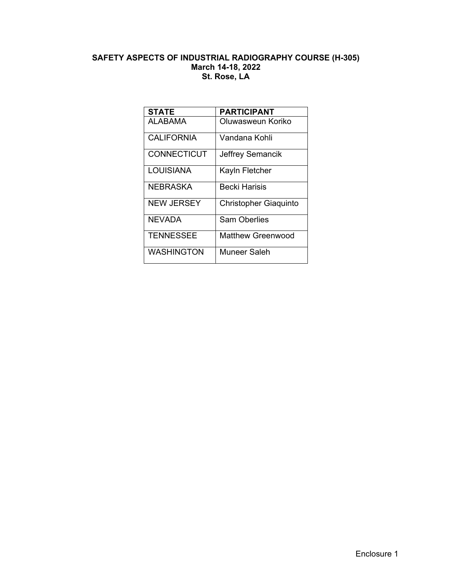## **SAFETY ASPECTS OF INDUSTRIAL RADIOGRAPHY COURSE (H-305) March 14-18, 2022 St. Rose, LA**

| <b>STATE</b>       | <b>PARTICIPANT</b>           |  |  |
|--------------------|------------------------------|--|--|
| AI ARAMA           | Oluwasweun Koriko            |  |  |
| <b>CALIFORNIA</b>  | Vandana Kohli                |  |  |
| <b>CONNECTICUT</b> | <b>Jeffrey Semancik</b>      |  |  |
| LOUISIANA          | Kayln Fletcher               |  |  |
| NEBRASKA           | <b>Becki Harisis</b>         |  |  |
| <b>NEW JERSEY</b>  | <b>Christopher Giaquinto</b> |  |  |
| <b>NEVADA</b>      | <b>Sam Oberlies</b>          |  |  |
| <b>TENNESSEE</b>   | <b>Matthew Greenwood</b>     |  |  |
| <b>WASHINGTON</b>  | Muneer Saleh                 |  |  |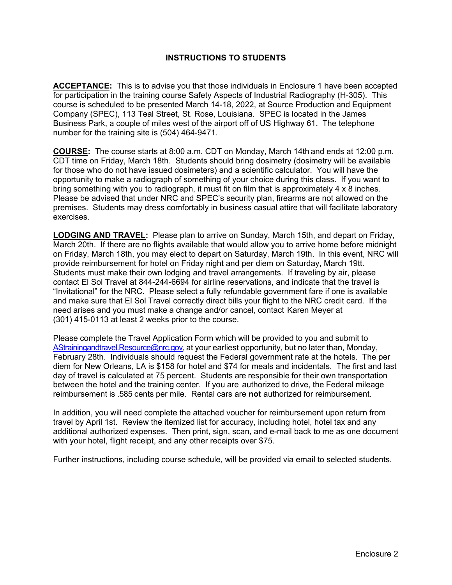## **INSTRUCTIONS TO STUDENTS**

**ACCEPTANCE:** This is to advise you that those individuals in Enclosure 1 have been accepted for participation in the training course Safety Aspects of Industrial Radiography (H-305). This course is scheduled to be presented March 14-18, 2022, at Source Production and Equipment Company (SPEC), 113 Teal Street, St. Rose, Louisiana. SPEC is located in the James Business Park, a couple of miles west of the airport off of US Highway 61. The telephone number for the training site is (504) 464-9471.

**COURSE:** The course starts at 8:00 a.m. CDT on Monday, March 14th and ends at 12:00 p.m. CDT time on Friday, March 18th. Students should bring dosimetry (dosimetry will be available for those who do not have issued dosimeters) and a scientific calculator. You will have the opportunity to make a radiograph of something of your choice during this class. If you want to bring something with you to radiograph, it must fit on film that is approximately 4 x 8 inches. Please be advised that under NRC and SPEC's security plan, firearms are not allowed on the premises. Students may dress comfortably in business casual attire that will facilitate laboratory exercises.

**LODGING AND TRAVEL:** Please plan to arrive on Sunday, March 15th, and depart on Friday, March 20th. If there are no flights available that would allow you to arrive home before midnight on Friday, March 18th, you may elect to depart on Saturday, March 19th. In this event, NRC will provide reimbursement for hotel on Friday night and per diem on Saturday, March 19tt. Students must make their own lodging and travel arrangements. If traveling by air, please contact El Sol Travel at 844-244-6694 for airline reservations, and indicate that the travel is "Invitational" for the NRC. Please select a fully refundable government fare if one is available and make sure that El Sol Travel correctly direct bills your flight to the NRC credit card. If the need arises and you must make a change and/or cancel, contact Karen Meyer at (301) 415-0113 at least 2 weeks prior to the course.

Please complete the Travel Application Form which will be provided to you and submit to [AStrainingandtravel.Resource@nrc.gov](mailto:AStrainingandtravel.Resource@nrc.gov), at your earliest opportunity, but no later than, Monday, February 28th. Individuals should request the Federal government rate at the hotels. The per diem for New Orleans, LA is \$158 for hotel and \$74 for meals and incidentals. The first and last day of travel is calculated at 75 percent. Students are responsible for their own transportation between the hotel and the training center. If you are authorized to drive, the Federal mileage reimbursement is .585 cents per mile. Rental cars are **not** authorized for reimbursement.

In addition, you will need complete the attached voucher for reimbursement upon return from travel by April 1st. Review the itemized list for accuracy, including hotel, hotel tax and any additional authorized expenses. Then print, sign, scan, and e-mail back to me as one document with your hotel, flight receipt, and any other receipts over \$75.

Further instructions, including course schedule, will be provided via email to selected students.